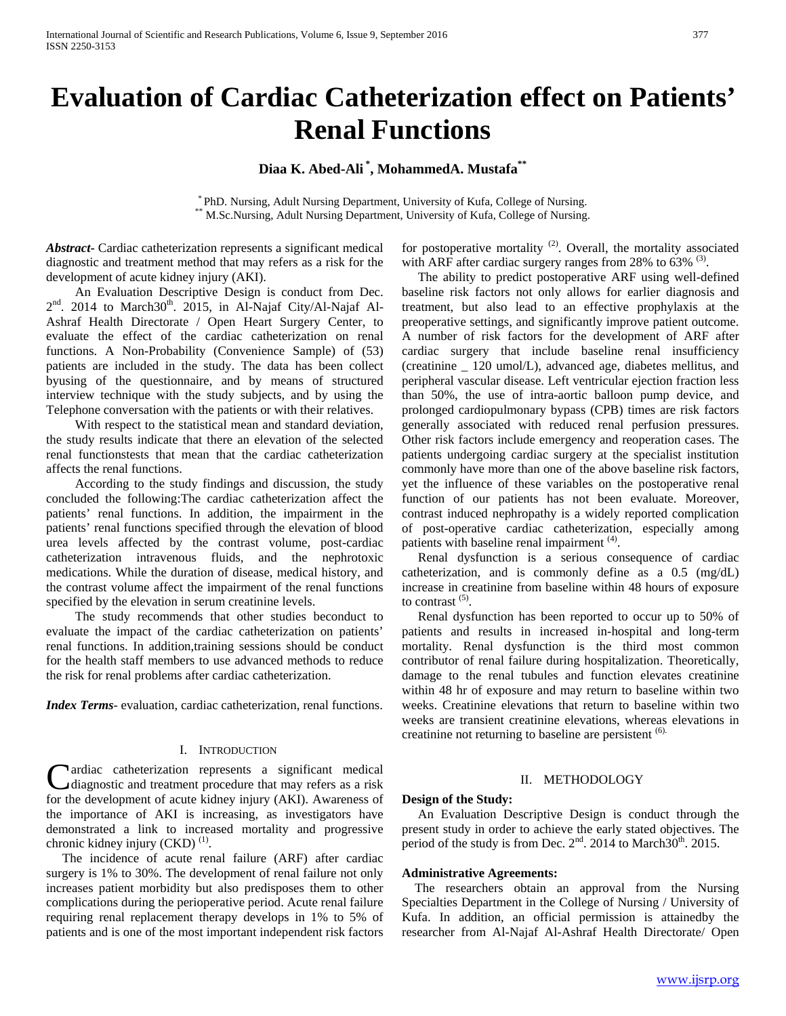# **Evaluation of Cardiac Catheterization effect on Patients' Renal Functions**

# **Diaa K. Abed-Ali \* , MohammedA. Mustafa\*\***

\* PhD. Nursing, Adult Nursing Department, University of Kufa, College of Nursing.<br>\* M.Sc.Nursing, Adult Nursing Department, University of Kufa, College of Nursing.

*Abstract***-** Cardiac catheterization represents a significant medical diagnostic and treatment method that may refers as a risk for the development of acute kidney injury (AKI).

 An Evaluation Descriptive Design is conduct from Dec. 2<sup>nd</sup>. 2014 to March30<sup>th</sup>. 2015, in Al-Najaf City/Al-Najaf Al-Ashraf Health Directorate / Open Heart Surgery Center, to evaluate the effect of the cardiac catheterization on renal functions. A Non-Probability (Convenience Sample) of (53) patients are included in the study. The data has been collect byusing of the questionnaire, and by means of structured interview technique with the study subjects, and by using the Telephone conversation with the patients or with their relatives.

 With respect to the statistical mean and standard deviation, the study results indicate that there an elevation of the selected renal functionstests that mean that the cardiac catheterization affects the renal functions.

 According to the study findings and discussion, the study concluded the following:The cardiac catheterization affect the patients' renal functions. In addition, the impairment in the patients' renal functions specified through the elevation of blood urea levels affected by the contrast volume, post-cardiac catheterization intravenous fluids, and the nephrotoxic medications. While the duration of disease, medical history, and the contrast volume affect the impairment of the renal functions specified by the elevation in serum creatinine levels.

 The study recommends that other studies beconduct to evaluate the impact of the cardiac catheterization on patients' renal functions. In addition,training sessions should be conduct for the health staff members to use advanced methods to reduce the risk for renal problems after cardiac catheterization.

*Index Terms*- evaluation, cardiac catheterization, renal functions.

#### I. INTRODUCTION

ardiac catheterization represents a significant medical diagnostic and treatment procedure that may refers as a risk Cardiac catheterization represents a significant medical diagnostic and treatment procedure that may refers as a risk for the development of acute kidney injury (AKI). Awareness of the importance of AKI is increasing, as investigators have demonstrated a link to increased mortality and progressive chronic kidney injury (CKD)<sup>(1)</sup>.

 The incidence of acute renal failure (ARF) after cardiac surgery is 1% to 30%. The development of renal failure not only increases patient morbidity but also predisposes them to other complications during the perioperative period. Acute renal failure requiring renal replacement therapy develops in 1% to 5% of patients and is one of the most important independent risk factors

for postoperative mortality<sup>(2)</sup>. Overall, the mortality associated with ARF after cardiac surgery ranges from 28% to 63% <sup>(3)</sup>.

 The ability to predict postoperative ARF using well-defined baseline risk factors not only allows for earlier diagnosis and treatment, but also lead to an effective prophylaxis at the preoperative settings, and significantly improve patient outcome. A number of risk factors for the development of ARF after cardiac surgery that include baseline renal insufficiency (creatinine \_ 120 umol/L), advanced age, diabetes mellitus, and peripheral vascular disease. Left ventricular ejection fraction less than 50%, the use of intra-aortic balloon pump device, and prolonged cardiopulmonary bypass (CPB) times are risk factors generally associated with reduced renal perfusion pressures. Other risk factors include emergency and reoperation cases. The patients undergoing cardiac surgery at the specialist institution commonly have more than one of the above baseline risk factors, yet the influence of these variables on the postoperative renal function of our patients has not been evaluate. Moreover, contrast induced nephropathy is a widely reported complication of post-operative cardiac catheterization, especially among patients with baseline renal impairment <sup>(4)</sup>.

 Renal dysfunction is a serious consequence of cardiac catheterization, and is commonly define as a 0.5 (mg/dL) increase in creatinine from baseline within 48 hours of exposure to contrast <sup>(5)</sup>.

 Renal dysfunction has been reported to occur up to 50% of patients and results in increased in-hospital and long-term mortality. Renal dysfunction is the third most common contributor of renal failure during hospitalization. Theoretically, damage to the renal tubules and function elevates creatinine within 48 hr of exposure and may return to baseline within two weeks. Creatinine elevations that return to baseline within two weeks are transient creatinine elevations, whereas elevations in creatinine not returning to baseline are persistent <sup>(6).</sup>

#### II. METHODOLOGY

#### **Design of the Study:**

 An Evaluation Descriptive Design is conduct through the present study in order to achieve the early stated objectives. The period of the study is from Dec. 2<sup>nd</sup>. 2014 to March30<sup>th</sup>. 2015.

#### **Administrative Agreements:**

 The researchers obtain an approval from the Nursing Specialties Department in the College of Nursing / University of Kufa. In addition, an official permission is attainedby the researcher from Al-Najaf Al-Ashraf Health Directorate/ Open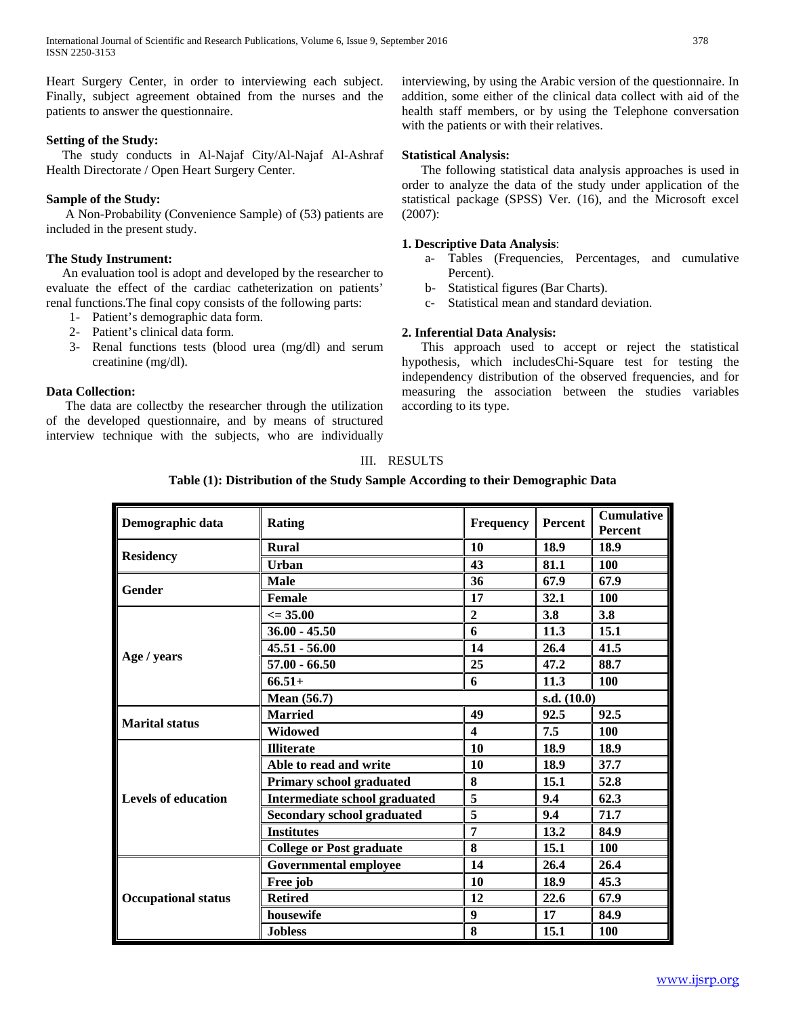Heart Surgery Center, in order to interviewing each subject. Finally, subject agreement obtained from the nurses and the patients to answer the questionnaire.

#### **Setting of the Study:**

 The study conducts in Al-Najaf City/Al-Najaf Al-Ashraf Health Directorate / Open Heart Surgery Center.

## **Sample of the Study:**

 A Non-Probability (Convenience Sample) of (53) patients are included in the present study.

## **The Study Instrument:**

 An evaluation tool is adopt and developed by the researcher to evaluate the effect of the cardiac catheterization on patients' renal functions.The final copy consists of the following parts:

- 1- Patient's demographic data form.
- 2- Patient's clinical data form.
- 3- Renal functions tests (blood urea (mg/dl) and serum creatinine (mg/dl).

## **Data Collection:**

 The data are collectby the researcher through the utilization of the developed questionnaire, and by means of structured interview technique with the subjects, who are individually interviewing, by using the Arabic version of the questionnaire. In addition, some either of the clinical data collect with aid of the health staff members, or by using the Telephone conversation with the patients or with their relatives.

## **Statistical Analysis:**

 The following statistical data analysis approaches is used in order to analyze the data of the study under application of the statistical package (SPSS) Ver. (16), and the Microsoft excel (2007):

#### **1. Descriptive Data Analysis**:

- a- Tables (Frequencies, Percentages, and cumulative Percent).
- b- Statistical figures (Bar Charts).
- c- Statistical mean and standard deviation.

## **2. Inferential Data Analysis:**

 This approach used to accept or reject the statistical hypothesis, which includesChi-Square test for testing the independency distribution of the observed frequencies, and for measuring the association between the studies variables according to its type.

## III. RESULTS

## **Table (1): Distribution of the Study Sample According to their Demographic Data**

| Demographic data           | Rating                            | <b>Frequency</b> | Percent       | <b>Cumulative</b><br>Percent |
|----------------------------|-----------------------------------|------------------|---------------|------------------------------|
|                            | <b>Rural</b>                      | 10               | 18.9          | 18.9                         |
| <b>Residency</b>           | Urban                             | 43               | 81.1          | 100                          |
|                            | <b>Male</b>                       | 36               | 67.9          | 67.9                         |
| Gender                     | Female                            | 17               | 32.1          | <b>100</b>                   |
|                            | $\epsilon = 35.00$                | $\overline{2}$   | 3.8           | 3.8                          |
|                            | $36.00 - 45.50$                   | 6                | 11.3          | 15.1                         |
|                            | $45.51 - 56.00$                   | 14               | 26.4          | 41.5                         |
| Age / years                | $57.00 - 66.50$                   | 25               | 47.2          | 88.7                         |
|                            | $66.51+$                          | 6                | 11.3          | <b>100</b>                   |
|                            | Mean $(56.7)$                     |                  | s.d. $(10.0)$ |                              |
|                            | <b>Married</b>                    | 49               | 92.5          | 92.5                         |
| <b>Marital status</b>      | Widowed                           | 4                | 7.5           | 100                          |
|                            | <b>Illiterate</b>                 | 10               | 18.9          | 18.9                         |
|                            | Able to read and write            | 10               | 18.9          | 37.7                         |
|                            | <b>Primary school graduated</b>   | 8                | 15.1          | 52.8                         |
| <b>Levels of education</b> | Intermediate school graduated     | 5                | 9.4           | 62.3                         |
|                            | <b>Secondary school graduated</b> | 5                | 9.4           | 71.7                         |
|                            | <b>Institutes</b>                 | 7                | 13.2          | 84.9                         |
|                            | <b>College or Post graduate</b>   | 8                | 15.1          | <b>100</b>                   |
| <b>Occupational status</b> | <b>Governmental employee</b>      | 14               | 26.4          | 26.4                         |
|                            | Free job                          | 10               | 18.9          | 45.3                         |
|                            | <b>Retired</b>                    | 12               | 22.6          | 67.9                         |
|                            | housewife                         | 9                | 17            | 84.9                         |
|                            | <b>Jobless</b>                    | 8                | 15.1          | <b>100</b>                   |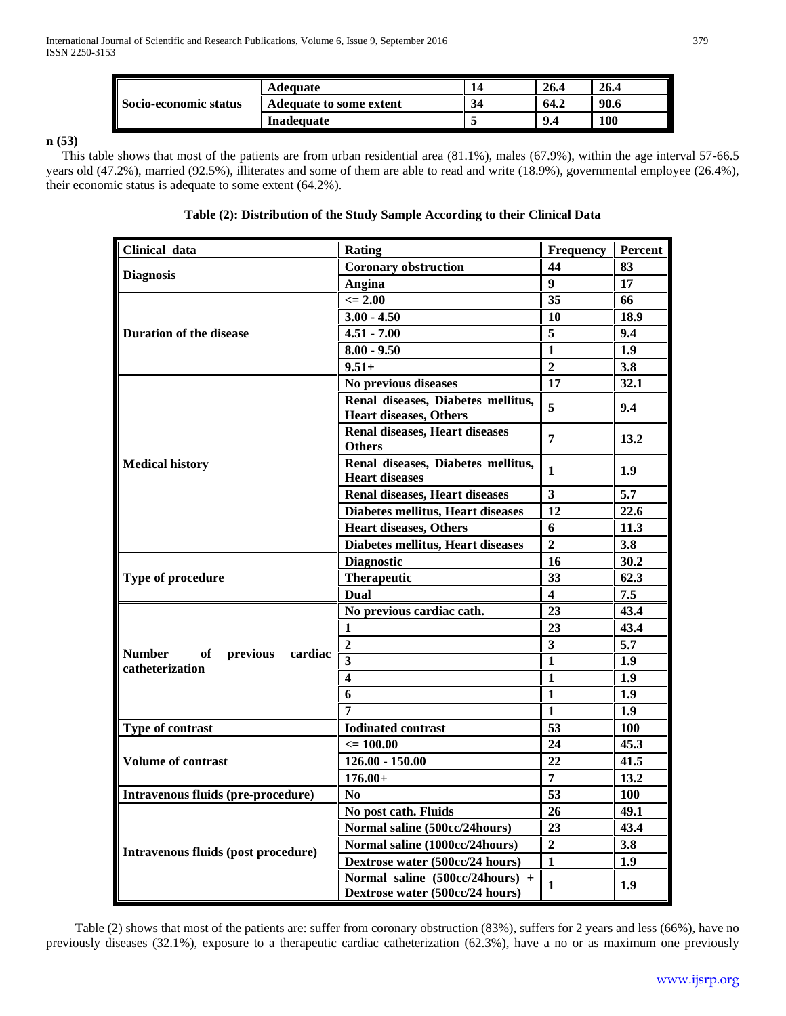| <b>Socio-economic status</b> | Adequate                |    | 26.4 | 26.4       |
|------------------------------|-------------------------|----|------|------------|
|                              | Adequate to some extent | 34 | 64.2 | 90.6       |
|                              | Inadequate              |    | 9.4  | <b>100</b> |

# **n (53)**

 This table shows that most of the patients are from urban residential area (81.1%), males (67.9%), within the age interval 57-66.5 years old (47.2%), married (92.5%), illiterates and some of them are able to read and write (18.9%), governmental employee (26.4%), their economic status is adequate to some extent (64.2%).

# **Table (2): Distribution of the Study Sample According to their Clinical Data**

| Clinical data                                                 | <b>Rating</b>                                                       | <b>Frequency</b>        | Percent    |
|---------------------------------------------------------------|---------------------------------------------------------------------|-------------------------|------------|
|                                                               | <b>Coronary obstruction</b>                                         | 44                      | 83         |
| <b>Diagnosis</b>                                              | Angina                                                              | 9                       | 17         |
|                                                               | $\leq$ 2.00                                                         | 35                      | 66         |
|                                                               | $3.00 - 4.50$                                                       | 10                      | 18.9       |
| <b>Duration of the disease</b>                                | $4.51 - 7.00$                                                       | $\overline{5}$          | 9.4        |
|                                                               | $8.00 - 9.50$                                                       | $\overline{\mathbf{1}}$ | 1.9        |
|                                                               | $9.51+$                                                             | $\overline{2}$          | 3.8        |
|                                                               | No previous diseases                                                | 17                      | 32.1       |
|                                                               | Renal diseases, Diabetes mellitus,<br><b>Heart diseases, Others</b> | 5                       | 9.4        |
|                                                               | <b>Renal diseases, Heart diseases</b><br><b>Others</b>              | $\overline{7}$          | 13.2       |
| <b>Medical history</b>                                        | Renal diseases, Diabetes mellitus,<br><b>Heart diseases</b>         | 1                       | 1.9        |
|                                                               | <b>Renal diseases, Heart diseases</b>                               | 3                       | 5.7        |
|                                                               | <b>Diabetes mellitus, Heart diseases</b>                            | 12                      | 22.6       |
|                                                               | <b>Heart diseases, Others</b>                                       | 6                       | 11.3       |
|                                                               | Diabetes mellitus, Heart diseases                                   | $\overline{2}$          | 3.8        |
|                                                               | <b>Diagnostic</b>                                                   | 16                      | 30.2       |
| Type of procedure                                             | <b>Therapeutic</b>                                                  | 33                      | 62.3       |
|                                                               | Dual                                                                | $\overline{\mathbf{4}}$ | 7.5        |
|                                                               | No previous cardiac cath.                                           | 23                      | 43,4       |
|                                                               | 1                                                                   | 23                      | 43.4       |
|                                                               | $\overline{2}$                                                      | $\overline{\mathbf{3}}$ | 5.7        |
| <b>Number</b><br>of<br>previous<br>cardiac<br>catheterization | $\overline{\mathbf{3}}$                                             | $\mathbf{1}$            | 1.9        |
|                                                               | 4                                                                   | $\mathbf{1}$            | 1.9        |
|                                                               | 6                                                                   | $\mathbf{1}$            | 1.9        |
|                                                               | 7                                                                   | $\mathbf{1}$            | 1.9        |
| Type of contrast                                              | <b>Iodinated contrast</b>                                           | 53                      | <b>100</b> |
|                                                               | $\epsilon = 100.00$                                                 | 24                      | 45.3       |
| <b>Volume of contrast</b>                                     | $126.00 - 150.00$                                                   | 22                      | 41.5       |
|                                                               | $176.00+$                                                           | $\overline{7}$          | 13.2       |
| Intravenous fluids (pre-procedure)                            | N <sub>0</sub>                                                      | 53                      | <b>100</b> |
|                                                               | No post cath. Fluids                                                | 26                      | 49.1       |
| Intravenous fluids (post procedure)                           | Normal saline (500cc/24hours)                                       | 23                      | 43.4       |
|                                                               | Normal saline (1000cc/24hours)                                      | $\overline{2}$          | 3.8        |
|                                                               | Dextrose water (500cc/24 hours)                                     | $\mathbf{1}$            | 1.9        |
|                                                               | Normal saline (500cc/24hours) +<br>Dextrose water (500cc/24 hours)  | 1                       | 1.9        |

 Table (2) shows that most of the patients are: suffer from coronary obstruction (83%), suffers for 2 years and less (66%), have no previously diseases (32.1%), exposure to a therapeutic cardiac catheterization (62.3%), have a no or as maximum one previously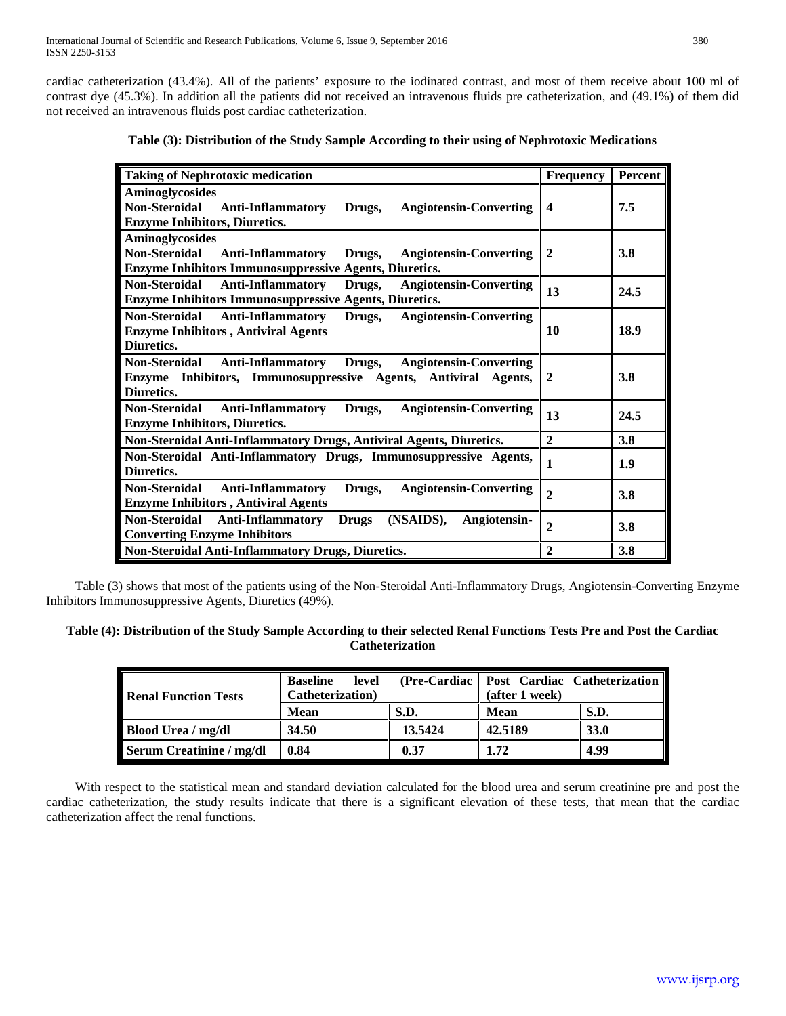cardiac catheterization (43.4%). All of the patients' exposure to the iodinated contrast, and most of them receive about 100 ml of contrast dye (45.3%). In addition all the patients did not received an intravenous fluids pre catheterization, and (49.1%) of them did not received an intravenous fluids post cardiac catheterization.

| <b>Taking of Nephrotoxic medication</b>                                                     | <b>Frequency</b>        | Percent |
|---------------------------------------------------------------------------------------------|-------------------------|---------|
| <b>Aminoglycosides</b>                                                                      |                         |         |
| Non-Steroidal Anti-Inflammatory<br>Drugs,<br><b>Angiotensin-Converting</b>                  | $\overline{\mathbf{4}}$ | 7.5     |
| <b>Enzyme Inhibitors, Diuretics.</b>                                                        |                         |         |
| <b>Aminoglycosides</b>                                                                      |                         |         |
| Non-Steroidal Anti-Inflammatory Drugs,<br><b>Angiotensin-Converting</b>                     | $\mathbf{2}$            | 3.8     |
| <b>Enzyme Inhibitors Immunosuppressive Agents, Diuretics.</b>                               |                         |         |
| Non-Steroidal<br>Anti-Inflammatory Drugs,<br><b>Angiotensin-Converting</b>                  | 13                      | 24.5    |
| <b>Enzyme Inhibitors Immunosuppressive Agents, Diuretics.</b>                               |                         |         |
| <b>Non-Steroidal</b><br><b>Anti-Inflammatory</b><br><b>Angiotensin-Converting</b><br>Drugs, |                         |         |
| <b>Enzyme Inhibitors, Antiviral Agents</b>                                                  | 10                      | 18.9    |
| Diuretics.                                                                                  |                         |         |
| Drugs,<br><b>Angiotensin-Converting</b><br>Non-Steroidal Anti-Inflammatory                  |                         |         |
| Enzyme Inhibitors, Immunosuppressive Agents, Antiviral Agents,                              | $\overline{2}$          | 3.8     |
| Diuretics.                                                                                  |                         |         |
| <b>Angiotensin-Converting</b><br>Non-Steroidal<br><b>Anti-Inflammatory</b><br>Drugs,        | 13                      | 24.5    |
| <b>Enzyme Inhibitors, Diuretics.</b>                                                        |                         |         |
| Non-Steroidal Anti-Inflammatory Drugs, Antiviral Agents, Diuretics.                         | $\overline{2}$          | 3.8     |
| Non-Steroidal Anti-Inflammatory Drugs, Immunosuppressive Agents,                            |                         |         |
| Diuretics.                                                                                  | 1                       | 1.9     |
| Non-Steroidal<br><b>Anti-Inflammatory</b><br><b>Angiotensin-Converting</b><br>Drugs,        | $\overline{2}$          |         |
| <b>Enzyme Inhibitors, Antiviral Agents</b>                                                  |                         | 3.8     |
| Non-Steroidal Anti-Inflammatory<br>Drugs (NSAIDS),<br>Angiotensin-                          |                         |         |
| <b>Converting Enzyme Inhibitors</b>                                                         | $\overline{c}$          | 3.8     |
| <b>Non-Steroidal Anti-Inflammatory Drugs, Diuretics.</b>                                    | $\overline{2}$          | 3.8     |

# **Table (3): Distribution of the Study Sample According to their using of Nephrotoxic Medications**

 Table (3) shows that most of the patients using of the Non-Steroidal Anti-Inflammatory Drugs, Angiotensin-Converting Enzyme Inhibitors Immunosuppressive Agents, Diuretics (49%).

## **Table (4): Distribution of the Study Sample According to their selected Renal Functions Tests Pre and Post the Cardiac Catheterization**

| <b>Renal Function Tests</b> | <b>Baseline</b><br>level<br>Catheterization) |             | (Pre-Cardiac   Post Cardiac Catheterization   <br>(after 1 week) |      |  |
|-----------------------------|----------------------------------------------|-------------|------------------------------------------------------------------|------|--|
|                             | Mean                                         | <b>S.D.</b> | Mean                                                             | S.D. |  |
| Blood Urea / mg/dl          | 34.50                                        | 13.5424     | 42.5189                                                          | 33.0 |  |
| Serum Creatinine / mg/dl    | 0.84                                         | 0.37        | 1.72                                                             | 4.99 |  |

 With respect to the statistical mean and standard deviation calculated for the blood urea and serum creatinine pre and post the cardiac catheterization, the study results indicate that there is a significant elevation of these tests, that mean that the cardiac catheterization affect the renal functions.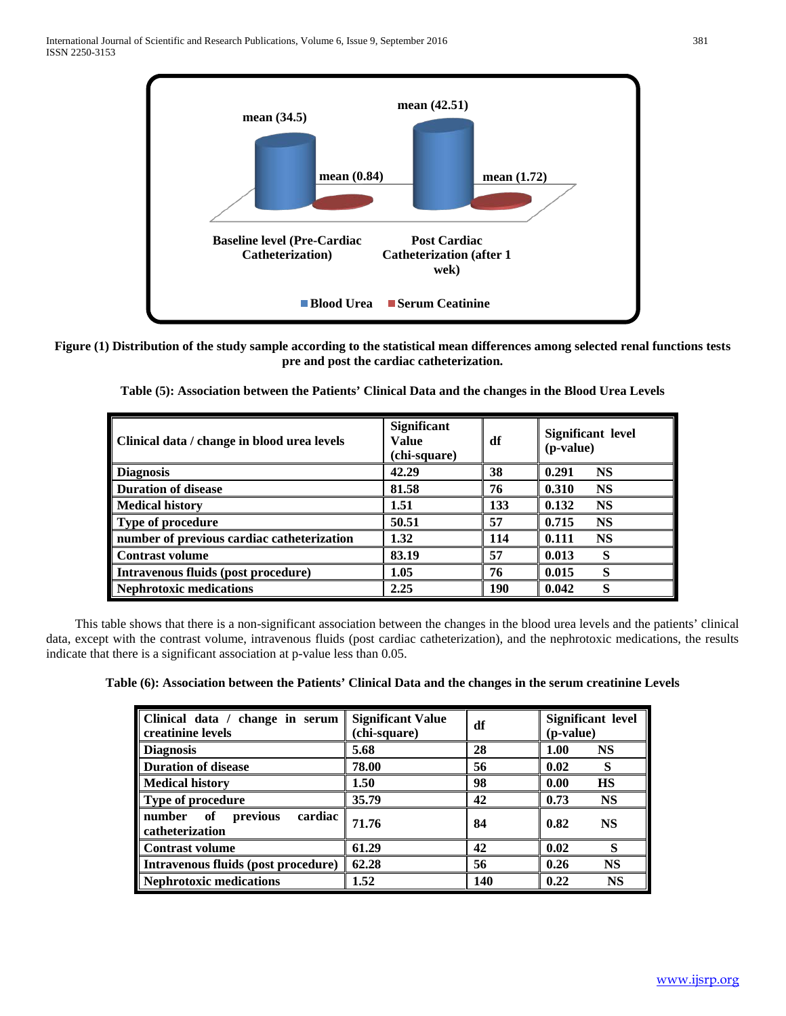

**Figure (1) Distribution of the study sample according to the statistical mean differences among selected renal functions tests pre and post the cardiac catheterization.**

| Clinical data / change in blood urea levels | <b>Significant</b><br>Value<br>(chi-square) | df  | <b>Significant level</b><br>(p-value) |  |
|---------------------------------------------|---------------------------------------------|-----|---------------------------------------|--|
| <b>Diagnosis</b>                            | 42.29                                       | 38  | 0.291<br><b>NS</b>                    |  |
| <b>Duration of disease</b>                  | 81.58                                       | 76  | <b>NS</b><br>0.310                    |  |
| <b>Medical history</b>                      | 1.51                                        | 133 | 0.132<br><b>NS</b>                    |  |
| Type of procedure                           | 50.51                                       | 57  | <b>NS</b><br>0.715                    |  |
| number of previous cardiac catheterization  | 1.32                                        | 114 | <b>NS</b><br>0.111                    |  |
| <b>Contrast volume</b>                      | 83.19                                       | 57  | 0.013<br>S                            |  |
| Intravenous fluids (post procedure)         | 1.05                                        | 76  | S<br>0.015                            |  |
| <b>Nephrotoxic medications</b>              | 2.25                                        | 190 | S<br>0.042                            |  |

**Table (5): Association between the Patients' Clinical Data and the changes in the Blood Urea Levels**

 This table shows that there is a non-significant association between the changes in the blood urea levels and the patients' clinical data, except with the contrast volume, intravenous fluids (post cardiac catheterization), and the nephrotoxic medications, the results indicate that there is a significant association at p-value less than 0.05.

**Table (6): Association between the Patients' Clinical Data and the changes in the serum creatinine Levels**

| Clinical data / change in serum<br>creatinine levels   | <b>Significant Value</b><br>(chi-square) | df  | <b>Significant level</b><br>(p-value) |  |
|--------------------------------------------------------|------------------------------------------|-----|---------------------------------------|--|
| <b>Diagnosis</b>                                       | 5.68                                     | 28  | 1.00<br><b>NS</b>                     |  |
| <b>Duration of disease</b>                             | 78.00                                    | 56  | 0.02<br>S                             |  |
| <b>Medical history</b>                                 | 1.50                                     | 98  | <b>HS</b><br>0.00                     |  |
| <b>Type of procedure</b>                               | 35.79                                    | 42  | 0.73<br><b>NS</b>                     |  |
| of<br>number<br>previous<br>cardiac<br>catheterization | 71.76                                    | 84  | 0.82<br><b>NS</b>                     |  |
| <b>Contrast volume</b>                                 | 61.29                                    | 42  | 0.02<br>S                             |  |
| Intravenous fluids (post procedure)                    | 62.28                                    | 56  | <b>NS</b><br>0.26                     |  |
| <b>Nephrotoxic medications</b>                         | 1.52                                     | 140 | <b>NS</b><br>0.22                     |  |